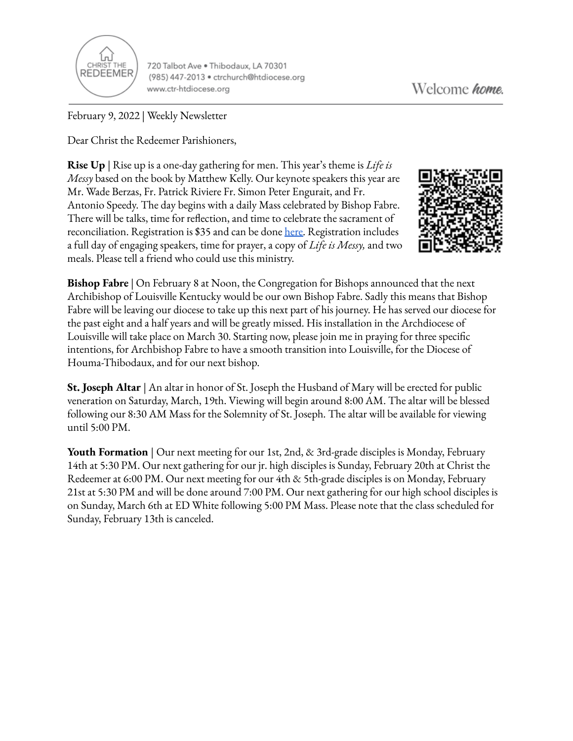

720 Talbot Ave . Thibodaux, LA 70301 (985) 447-2013 · ctrchurch@htdiocese.org www.ctr-htdiocese.org

February 9, 2022 | Weekly Newsletter

Dear Christ the Redeemer Parishioners,

**Rise Up** | Rise up is a one-day gathering for men. This year's theme is *Life is Messy* based on the book by Matthew Kelly. Our keynote speakers this year are Mr. Wade Berzas, Fr. Patrick Riviere Fr. Simon Peter Engurait, and Fr. Antonio Speedy. The day begins with a daily Mass celebrated by Bishop Fabre. There will be talks, time for reflection, and time to celebrate the sacrament of reconciliation. Registration is \$35 and can be done [here.](https://giving.parishsoft.com/App/Form/72b71f4d-90be-49db-9e14-6fdf45ddbf08) Registration includes a full day of engaging speakers, time for prayer, a copy of *Life is Messy,* and two meals. Please tell a friend who could use this ministry.



**Bishop Fabre** | On February 8 at Noon, the Congregation for Bishops announced that the next Archibishop of Louisville Kentucky would be our own Bishop Fabre. Sadly this means that Bishop Fabre will be leaving our diocese to take up this next part of his journey. He has served our diocese for the past eight and a half years and will be greatly missed. His installation in the Archdiocese of Louisville will take place on March 30. Starting now, please join me in praying for three specific intentions, for Archbishop Fabre to have a smooth transition into Louisville, for the Diocese of Houma-Thibodaux, and for our next bishop.

**St. Joseph Altar** | An altar in honor of St. Joseph the Husband of Mary will be erected for public veneration on Saturday, March, 19th. Viewing will begin around 8:00 AM. The altar will be blessed following our 8:30 AM Mass for the Solemnity of St. Joseph. The altar will be available for viewing until 5:00 PM.

**Youth Formation** | Our next meeting for our 1st, 2nd, & 3rd-grade disciples is Monday, February 14th at 5:30 PM. Our next gathering for our jr. high disciples is Sunday, February 20th at Christ the Redeemer at 6:00 PM. Our next meeting for our 4th & 5th-grade disciples is on Monday, February 21st at 5:30 PM and will be done around 7:00 PM. Our next gathering for our high school disciples is on Sunday, March 6th at ED White following 5:00 PM Mass. Please note that the class scheduled for Sunday, February 13th is canceled.